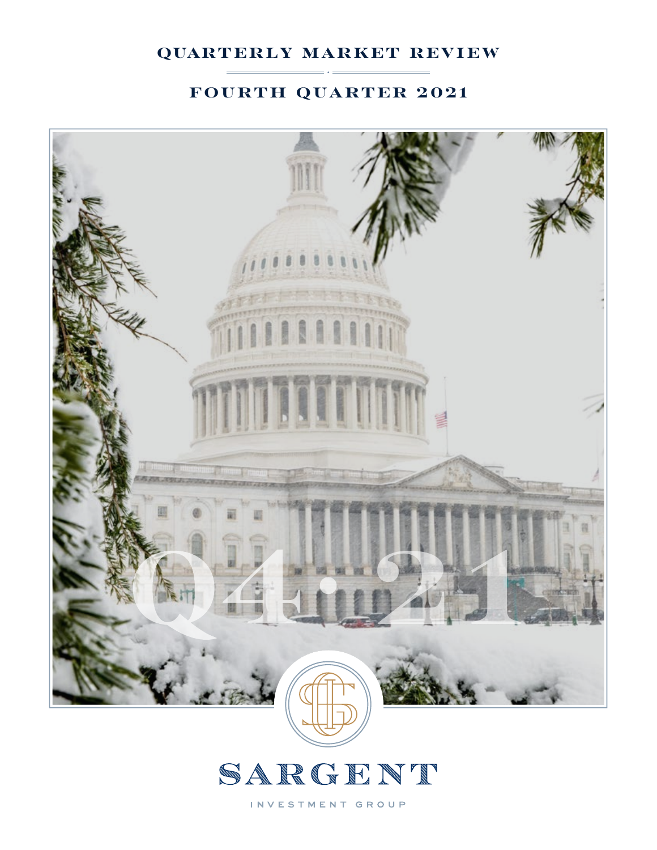## quarterly market review

## FOURTH QUARTER 2021





INVESTMENT GROUP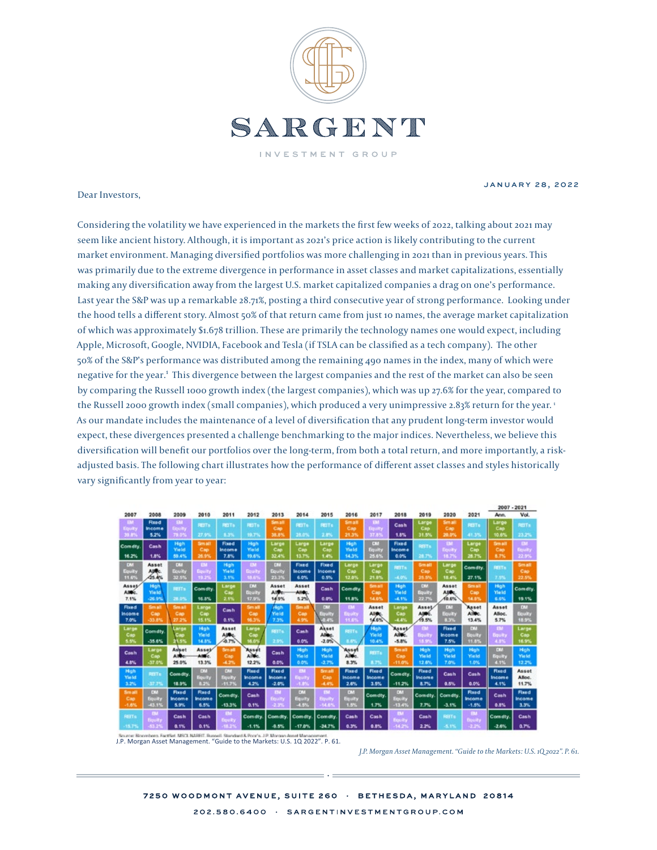

Dear Investors,

january 28, 2022

Considering the volatility we have experienced in the markets the first few weeks of 2022, talking about 2021 may seem like ancient history. Although, it is important as 2021's price action is likely contributing to the current market environment. Managing diversified portfolios was more challenging in 2021 than in previous years. This was primarily due to the extreme divergence in performance in asset classes and market capitalizations, essentially making any diversification away from the largest U.S. market capitalized companies a drag on one's performance. Last year the S&P was up a remarkable 28.71%, posting a third consecutive year of strong performance. Looking under the hood tells a different story. Almost 50% of that return came from just 10 names, the average market capitalization of which was approximately \$1.678 trillion. These are primarily the technology names one would expect, including Apple, Microsoft, Google, NVIDIA, Facebook and Tesla (if TSLA can be classified as a tech company). The other 50% of the S&P's performance was distributed among the remaining 490 names in the index, many of which were negative for the year.<sup>1</sup> This divergence between the largest companies and the rest of the market can also be seen by comparing the Russell 1000 growth index (the largest companies), which was up 27.6% for the year, compared to the Russell 2000 growth index (small companies), which produced a very unimpressive 2.83% return for the year.<sup>1</sup> As our mandate includes the maintenance of a level of diversification that any prudent long-term investor would expect, these divergences presented a challenge benchmarking to the major indices. Nevertheless, we believe this diversification will benefit our portfolios over the long-term, from both a total return, and more importantly, a riskadjusted basis. The following chart illustrates how the performance of different asset classes and styles historically vary significantly from year to year:

|                                      |                                      |                                  |                                 |                               |                                       |                                      |                                       |                                         |                                   |                                |                               |                                |                                    |                                      | 2007 - 2021                     |                                     |
|--------------------------------------|--------------------------------------|----------------------------------|---------------------------------|-------------------------------|---------------------------------------|--------------------------------------|---------------------------------------|-----------------------------------------|-----------------------------------|--------------------------------|-------------------------------|--------------------------------|------------------------------------|--------------------------------------|---------------------------------|-------------------------------------|
| 2007                                 | 2008                                 | 2009                             | 2010                            | 2011                          | 2012                                  | 2013                                 | 2014                                  | 2015                                    | 2016                              | 2017                           | 2018                          | 2019                           | 2020                               | 2021                                 | Ann.                            | Vol.                                |
| EM<br><b>Equity</b><br>39.80         | <b>Fixed</b><br>Income<br>5.2%       | EM<br>Gquity<br>79.0%            | <b>FEIT</b><br>27.9%            | <b>PERTI</b><br>1.35          | <b>PEST 6</b><br>19.7%                | Sem all<br>Cap<br>38.8%              | <b>PEST</b><br>25.0%                  | <b>PETT</b><br>2,8%                     | Small<br>Cap<br>21.3%             | EM<br>Бриту<br>17.39           | Cash<br>1.8%                  | Large<br>Cap<br>31.5%          | Sm ail<br>Cap<br>20.0%             | <b>PEST</b><br>41.3%                 | Large<br>Cap<br>10.6%           | <b>PEST</b><br>23.2%                |
| Comdty                               | Cash                                 | Hgh<br><b>Meld</b>               | Small<br>Cap                    | Fixed<br>Income               | High<br>Yield                         | Large<br>Cap                         | Large<br>Cap                          | Large<br>Cap                            | High<br>Yield                     | $\left( 1.5\right)$<br>Equity  | <b>Fixed</b><br>incom e       | RFIT.                          | Ð<br><b>Equity</b>                 | Large<br>Cap                         | Small<br>Cap                    | EM<br><b>Topulty</b>                |
| 16.2%                                | 1.8%                                 | 59.4%                            | 26.9%                           | 7.8%                          | 19.6%                                 | 32.4%                                | 13.75                                 | 1.4%                                    | 14.3%                             | 23.69                          | 0.0%                          | 28.7%                          | 18.77                              | 28.7%                                | 8.7%                            | 22.9%                               |
| <b>DVI</b><br><b>Equity</b><br>11.6% | Asset<br>AUR <sub>C</sub><br>45.4%   | <b>DOM</b><br>Equit,<br>59.000   | ш<br>Equit<br>89 FS             | High<br>Yield<br>3.1%         | <b>DV</b><br><b>Buuity</b><br>18.65   | 577<br><b>Equity</b><br>23.31        | <b>Fixed</b><br><b>Income</b><br>6.0% | Fixed<br>Income<br>0.5%                 | Large<br>Cap<br>12.0%             | Large<br>Cap<br>21.85          | <b>RETTA</b><br>4.0%          | <b>Small</b><br>Cap<br>25.5%   | Large<br>Cap<br>18.4%              | Comdity<br>27.1%                     | <b>RETTA</b><br>7.5%            | <b>Small</b><br>Cap<br>22.5%        |
| Asses<br>AIRC.<br>7.1%               | Hoh<br>Yield<br>-26.9%               | <b>REFT's</b><br>28.0%           | Comdty<br>16.8%                 | Large<br>Cap<br>2.15          | <b>EXT</b><br>Equity<br>17.9%         | <b>Asset</b><br>Aller:<br>14.9%      | Asset<br>Alle-<br>5.2%                | Cash<br>0.0%                            | Comdty.<br>11.8%                  | <b>Smail</b><br>Cap<br>14.6%   | High<br>Yield<br>$-4.1%$      | EW<br><b>Equity</b><br>22.7%   | Asset<br><b>AURE</b><br>10.0%      | Sm all<br>Cap<br>14.5%               | High<br>Yield<br>6.6%           | Com dty<br>19.1%                    |
| <b>Flored</b><br>ncome<br>7.0%       | Small<br>Cap<br>-33.8%               | <b>Small</b><br>Cap<br>27.2%     | Large<br>Cap<br>15.1%           | Cash<br>0.1%                  | <b>Small</b><br>Cap<br>16.3%          | rligh.<br>Yield<br>7.3%              | Small<br>Cap<br>4.9%                  | <b>RV</b><br><b>Sydle</b><br>0.4%       | <b>DJ</b><br>Equity<br>11.6%      | Asset<br>Alleo.<br>14.6%       | Large<br>Cap<br>$-4.4%$       | Asset<br>AIRE.<br>19.5%        | <b>RA</b><br><b>Equity</b><br>8.3% | Asset<br>AIRC.<br>13.4%              | Asset<br>Alloc.<br>5.7%         | <b>DO</b><br><b>Couity</b><br>18.9% |
| Large<br>Cap<br>5.5%                 | <b>Comdty</b><br>$-35.6\%$           | <b>arge</b><br>œ<br>1355         | High<br>Yield<br>14.8%          | Asset<br>AIRC.<br>0.7%        | Large<br>Cap<br>16.01                 | <b>REST</b><br>2.9%                  | Cash<br>0.0%                          | <b>Asset</b><br><b>Aliec</b><br>$-2.0%$ | <b>RESTs</b><br>1.67              | High<br>Yield<br>10.4%         | Asset<br>AIRE.<br>$-5.8\%$    | œ<br><b>Inuity</b><br>11.57    | <b>Fixed</b><br>Income<br>7.5%     | <b>EXI</b><br><b>Culty</b><br>33,455 | EM<br>Equity<br>4.5%            | Large<br>Cap<br>16.9%               |
| Cash<br>4.8%                         | Large<br>Cap<br>37.05                | Ashet<br>Ali <b>b</b> e<br>25.0% | Asse)<br><b>AID 4</b><br>13.3%  | <b>Small</b><br>Cap<br>-4.2%  | Asso<br>Albert<br>12.2%               | Cash<br>0.0%                         | <b>High</b><br>Yield<br>0.0%          | High<br>Yield<br>$-2.7%$                | Asset<br>AIM <sub>O</sub><br>8.3% | <b>REIT</b><br>12,779          | Small<br>Cap<br>-11.0%        | High<br>Yield<br>12.6%         | High<br>Yield<br>7.0%              | High<br>Yield<br>1.0%                | <b>KIT</b><br>の世式<br>4.10       | High<br>Yield<br>12.2%              |
| High<br>Yield<br>3.2%                | <b>RETT</b><br>-37.75                | Comediy.<br>18.9%                | FZD<br>iquit,<br>1.21           | w<br><b>Great</b><br>$-11.76$ | <b>Fixed</b><br><b>Income</b><br>4.2% | <b>Fixed</b><br>In com a<br>$-2.0\%$ | <b>EM</b><br><b>Lguit</b><br>$-1.31$  | <b>Small</b><br>Cap<br>$-4.4%$          | <b>Fixed</b><br>Income<br>2.6%    | Fixed<br><b>Income</b><br>3.5% | <b>Comdty</b><br>$-11.2%$     | <b>Fixed</b><br>Income<br>8.7% | Cash<br>0.5%                       | Cash<br>0.0%                         | <b>Fixed</b><br>incom e<br>4.1% | Asset<br>Alloc.<br>11.7%            |
| <b>Small</b><br>Cap<br>$-1.6\%$      | <b>DOM</b><br><b>Squits</b><br>43.10 | <b>Fixed</b><br>inceme<br>5.9%   | <b>Fixed</b><br>incom e<br>6.5% | Comdty.<br>$-13.3\%$          | Cash<br>0.1%                          | <b>EM</b><br>Equity<br>- 37          | <b>KOV</b><br>Equity<br>$-1.527$      | w<br>Equity<br>14.61                    | DOM:<br>Equity<br>1.5%            | <b>Comdty</b><br>1.7%          | <b>DOM</b><br>Equity<br>18.49 | Comdty.<br>7.7%                | Corndity.<br>$-3.1%$               | Fixed<br><b>Income</b><br>$-1.8\%$   | Cash<br>0.8%                    | <b>Fixed</b><br>Income<br>3.3%      |
| <b>REIT's</b><br>$-15.7%$            | в<br>Equity<br>51.2                  | Cash<br>0.1%                     | Cash<br>0.1%                    | ш<br>Expertis<br>11 BB        | Comdty<br>$-1.1%$                     | <b>Comdty</b><br>-0.5%               | Com dty.<br>$-17.0%$                  | <b>Comdty</b><br>$-24.7%$               | <b>Cash</b><br>0.3%               | <b>Gash</b><br>0.8%            | ш<br>Equity                   | Cash<br>2.2%                   | REIT<br>-5.1%                      | BJ                                   | Com dty.<br>$-2.6%$             | Cash<br>0.7%                        |

J.P. Morgan Asset Management. "Guide to the Markets: U.S. 1Q 2022". P. 61.

*J.P. Morgan Asset Management. "Guide to the Markets: U.S. 1Q 2022". P. 61.*

 $13.2\pm 13.5$  where we saw a  $43.5\pm 13.5$  the broader market drivers began to shifted drivers began to shifted drivers began to shifted drivers began to shifted drivers began to shifted drivers began to shifted drivers b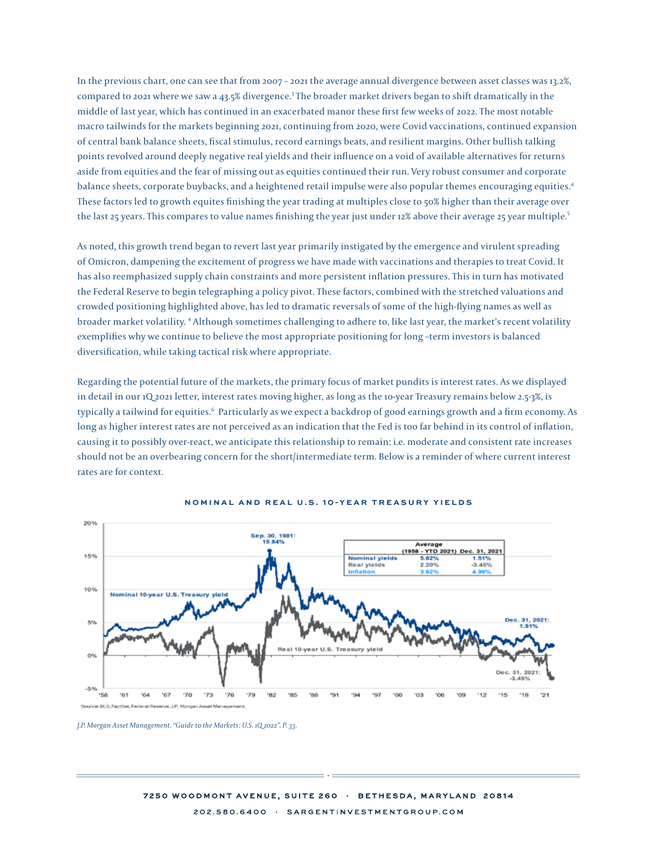In the previous chart, one can see that from 2007 – 2021 the average annual divergence between asset classes was 13.2%, compared to 2021 where we saw a 43.5% divergence.<sup>3</sup> The broader market drivers began to shift dramatically in the middle of last year, which has continued in an exacerbated manor these first few weeks of 2022. The most notable macro tailwinds for the markets beginning 2021, continuing from 2020, were Covid vaccinations, continued expansion of central bank balance sheets, fiscal stimulus, record earnings beats, and resilient margins. Other bullish talking points revolved around deeply negative real yields and their influence on a void of available alternatives for returns aside from equities and the fear of missing out as equities continued their run. Very robust consumer and corporate balance sheets, corporate buybacks, and a heightened retail impulse were also popular themes encouraging equities.<sup>4</sup> These factors led to growth equites finishing the year trading at multiples close to 50% higher than their average over the last 25 years. This compares to value names finishing the year just under 12% above their average 25 year multiple.<sup>5</sup>

As noted, this growth trend began to revert last year primarily instigated by the emergence and virulent spreading of Omicron, dampening the excitement of progress we have made with vaccinations and therapies to treat Covid. It has also reemphasized supply chain constraints and more persistent inflation pressures. This in turn has motivated the Federal Reserve to begin telegraphing a policy pivot. These factors, combined with the stretched valuations and crowded positioning highlighted above, has led to dramatic reversals of some of the high-flying names as well as broader market volatility. <sup>4</sup> Although sometimes challenging to adhere to, like last year, the market's recent volatility exemplifies why we continue to believe the most appropriate positioning for long –term investors is balanced diversification, while taking tactical risk where appropriate.

Regarding the potential future of the markets, the primary focus of market pundits is interest rates. As we displayed in detail in our 1Q 2021 letter, interest rates moving higher, as long as the 10-year Treasury remains below 2.5-3%, is typically a tailwind for equities.<sup>6</sup> Particularly as we expect a backdrop of good earnings growth and a firm economy. As long as higher interest rates are not perceived as an indication that the Fed is too far behind in its control of inflation, causing it to possibly over-react, we anticipate this relationship to remain: i.e. moderate and consistent rate increases causing it to possibly over react, we anticipate this relationship to remain. I.e. moderate and consistent rate increases<br>should not be an overbearing concern for the short/intermediate term. Below is a reminder of where c rates are for context.  $\mathbf s$ nould not be an overbearing concern for the  $\mathbf s$ nor $\mathbf r$ jntermediate term, below is a reminder of where current inter $\mathbf s$ moderate and consistent rate increases show  $\alpha$  over  $\alpha$  over  $\alpha$  intermediate term.



## **nominal and real u.s. 10-year treasury yields**

J.P. Morgan Asset Management. "Guide to the Markets: U.S. 1Q 2022". P. 33. *J.P. Morgan Asset Management. "Guide to the Markets: U.S. 1Q 2022". P. 33.*

beginning of this letter, navigates through upcoming changes in interest rates, government spending and the